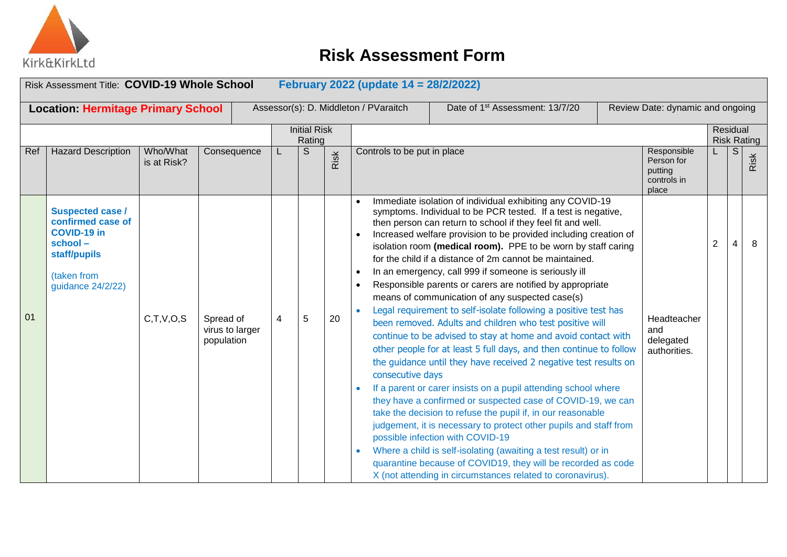

|                                                                                                                                                                       | Risk Assessment Title: COVID-19 Whole School<br>February 2022 (update 14 = 28/2/2022)                                             |                         |                                            |   |                               |      |                                                                                                                                                                                                                                                                                                                                                                                                                                                                                                                                                                                                                                                                                                                                                                                                                                                                                                                                                                                                                                                                                                                                                                                                                                                                                                                                                                                                                                                  |                                                              |                                |   |      |  |  |  |
|-----------------------------------------------------------------------------------------------------------------------------------------------------------------------|-----------------------------------------------------------------------------------------------------------------------------------|-------------------------|--------------------------------------------|---|-------------------------------|------|--------------------------------------------------------------------------------------------------------------------------------------------------------------------------------------------------------------------------------------------------------------------------------------------------------------------------------------------------------------------------------------------------------------------------------------------------------------------------------------------------------------------------------------------------------------------------------------------------------------------------------------------------------------------------------------------------------------------------------------------------------------------------------------------------------------------------------------------------------------------------------------------------------------------------------------------------------------------------------------------------------------------------------------------------------------------------------------------------------------------------------------------------------------------------------------------------------------------------------------------------------------------------------------------------------------------------------------------------------------------------------------------------------------------------------------------------|--------------------------------------------------------------|--------------------------------|---|------|--|--|--|
| Assessor(s): D. Middleton / PVaraitch<br>Date of 1 <sup>st</sup> Assessment: 13/7/20<br>Review Date: dynamic and ongoing<br><b>Location: Hermitage Primary School</b> |                                                                                                                                   |                         |                                            |   |                               |      |                                                                                                                                                                                                                                                                                                                                                                                                                                                                                                                                                                                                                                                                                                                                                                                                                                                                                                                                                                                                                                                                                                                                                                                                                                                                                                                                                                                                                                                  |                                                              |                                |   |      |  |  |  |
|                                                                                                                                                                       |                                                                                                                                   |                         |                                            |   | <b>Initial Risk</b><br>Rating |      |                                                                                                                                                                                                                                                                                                                                                                                                                                                                                                                                                                                                                                                                                                                                                                                                                                                                                                                                                                                                                                                                                                                                                                                                                                                                                                                                                                                                                                                  |                                                              | Residual<br><b>Risk Rating</b> |   |      |  |  |  |
| Ref                                                                                                                                                                   | <b>Hazard Description</b>                                                                                                         | Who/What<br>is at Risk? | Consequence                                |   | S                             | Risk | Controls to be put in place                                                                                                                                                                                                                                                                                                                                                                                                                                                                                                                                                                                                                                                                                                                                                                                                                                                                                                                                                                                                                                                                                                                                                                                                                                                                                                                                                                                                                      | Responsible<br>Person for<br>putting<br>controls in<br>place |                                | S | Risk |  |  |  |
| 01                                                                                                                                                                    | <b>Suspected case /</b><br>confirmed case of<br><b>COVID-19 in</b><br>school-<br>staff/pupils<br>(taken from<br>guidance 24/2/22) | C,T,V,O,S               | Spread of<br>virus to larger<br>population | 4 | 5                             | 20   | Immediate isolation of individual exhibiting any COVID-19<br>symptoms. Individual to be PCR tested. If a test is negative,<br>then person can return to school if they feel fit and well.<br>Increased welfare provision to be provided including creation of<br>isolation room (medical room). PPE to be worn by staff caring<br>for the child if a distance of 2m cannot be maintained.<br>In an emergency, call 999 if someone is seriously ill<br>Responsible parents or carers are notified by appropriate<br>means of communication of any suspected case(s)<br>Legal requirement to self-isolate following a positive test has<br>been removed. Adults and children who test positive will<br>and<br>continue to be advised to stay at home and avoid contact with<br>other people for at least 5 full days, and then continue to follow<br>the guidance until they have received 2 negative test results on<br>consecutive days<br>If a parent or carer insists on a pupil attending school where<br>they have a confirmed or suspected case of COVID-19, we can<br>take the decision to refuse the pupil if, in our reasonable<br>judgement, it is necessary to protect other pupils and staff from<br>possible infection with COVID-19<br>Where a child is self-isolating (awaiting a test result) or in<br>quarantine because of COVID19, they will be recorded as code<br>X (not attending in circumstances related to coronavirus). | Headteacher<br>delegated<br>authorities.                     | $\overline{2}$                 |   | 8    |  |  |  |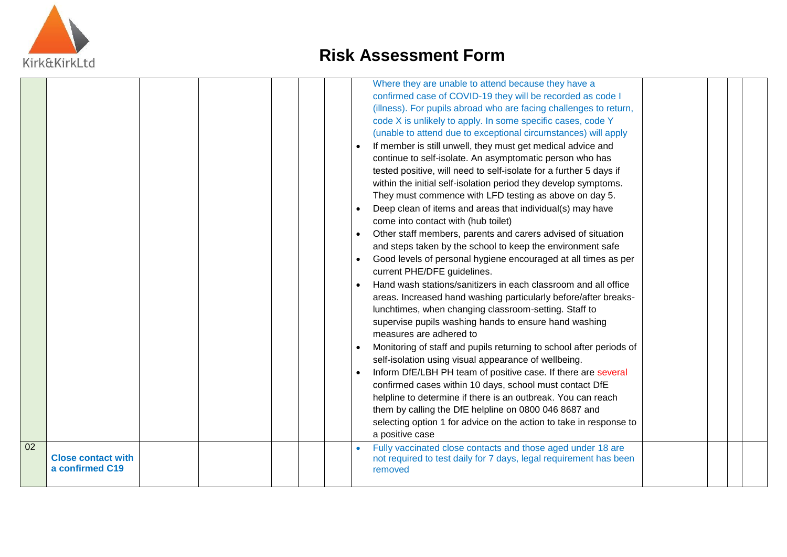

|    |                                              |  |  |  | Where they are unable to attend because they have a<br>confirmed case of COVID-19 they will be recorded as code I<br>(illness). For pupils abroad who are facing challenges to return,<br>code X is unlikely to apply. In some specific cases, code Y<br>(unable to attend due to exceptional circumstances) will apply<br>If member is still unwell, they must get medical advice and<br>continue to self-isolate. An asymptomatic person who has<br>tested positive, will need to self-isolate for a further 5 days if<br>within the initial self-isolation period they develop symptoms.<br>They must commence with LFD testing as above on day 5.<br>Deep clean of items and areas that individual(s) may have<br>come into contact with (hub toilet)<br>Other staff members, parents and carers advised of situation<br>and steps taken by the school to keep the environment safe<br>Good levels of personal hygiene encouraged at all times as per<br>current PHE/DFE guidelines.<br>Hand wash stations/sanitizers in each classroom and all office<br>areas. Increased hand washing particularly before/after breaks-<br>lunchtimes, when changing classroom-setting. Staff to<br>supervise pupils washing hands to ensure hand washing<br>measures are adhered to<br>Monitoring of staff and pupils returning to school after periods of<br>self-isolation using visual appearance of wellbeing.<br>Inform DfE/LBH PH team of positive case. If there are several<br>confirmed cases within 10 days, school must contact DfE<br>helpline to determine if there is an outbreak. You can reach<br>them by calling the DfE helpline on 0800 046 8687 and<br>selecting option 1 for advice on the action to take in response to<br>a positive case |  |  |
|----|----------------------------------------------|--|--|--|---------------------------------------------------------------------------------------------------------------------------------------------------------------------------------------------------------------------------------------------------------------------------------------------------------------------------------------------------------------------------------------------------------------------------------------------------------------------------------------------------------------------------------------------------------------------------------------------------------------------------------------------------------------------------------------------------------------------------------------------------------------------------------------------------------------------------------------------------------------------------------------------------------------------------------------------------------------------------------------------------------------------------------------------------------------------------------------------------------------------------------------------------------------------------------------------------------------------------------------------------------------------------------------------------------------------------------------------------------------------------------------------------------------------------------------------------------------------------------------------------------------------------------------------------------------------------------------------------------------------------------------------------------------------------------------------------------------------------------------------------------|--|--|
| 02 | <b>Close contact with</b><br>a confirmed C19 |  |  |  | Fully vaccinated close contacts and those aged under 18 are<br>not required to test daily for 7 days, legal requirement has been<br>removed                                                                                                                                                                                                                                                                                                                                                                                                                                                                                                                                                                                                                                                                                                                                                                                                                                                                                                                                                                                                                                                                                                                                                                                                                                                                                                                                                                                                                                                                                                                                                                                                             |  |  |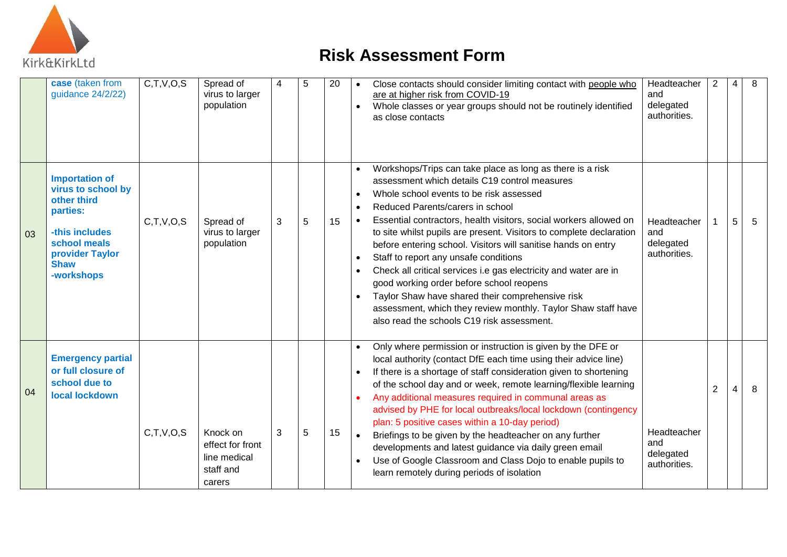

|    | case (taken from<br>guidance 24/2/22)                                                                                                                    | C, T, V, O, S | Spread of<br>virus to larger<br>population                          |   | 5 | 20 | Close contacts should consider limiting contact with people who<br>Headteacher<br>and<br>are at higher risk from COVID-19<br>delegated<br>Whole classes or year groups should not be routinely identified<br>authorities.<br>as close contacts                                                                                                                                                                                                                                                                                                                                                                                                                                                                                                                                                                  |                |   | 8 |
|----|----------------------------------------------------------------------------------------------------------------------------------------------------------|---------------|---------------------------------------------------------------------|---|---|----|-----------------------------------------------------------------------------------------------------------------------------------------------------------------------------------------------------------------------------------------------------------------------------------------------------------------------------------------------------------------------------------------------------------------------------------------------------------------------------------------------------------------------------------------------------------------------------------------------------------------------------------------------------------------------------------------------------------------------------------------------------------------------------------------------------------------|----------------|---|---|
| 03 | <b>Importation of</b><br>virus to school by<br>other third<br>parties:<br>-this includes<br>school meals<br>provider Taylor<br><b>Shaw</b><br>-workshops | C,T,V,O,S     | Spread of<br>virus to larger<br>population                          | 3 | 5 | 15 | Workshops/Trips can take place as long as there is a risk<br>assessment which details C19 control measures<br>Whole school events to be risk assessed<br>$\bullet$<br>Reduced Parents/carers in school<br>Essential contractors, health visitors, social workers allowed on<br>Headteacher<br>$\bullet$<br>to site whilst pupils are present. Visitors to complete declaration<br>and<br>delegated<br>before entering school. Visitors will sanitise hands on entry<br>authorities.<br>Staff to report any unsafe conditions<br>Check all critical services i.e gas electricity and water are in<br>good working order before school reopens<br>Taylor Shaw have shared their comprehensive risk<br>assessment, which they review monthly. Taylor Shaw staff have<br>also read the schools C19 risk assessment. |                | 5 | 5 |
| 04 | <b>Emergency partial</b><br>or full closure of<br>school due to<br>local lockdown                                                                        | C,T,V,O,S     | Knock on<br>effect for front<br>line medical<br>staff and<br>carers | 3 | 5 | 15 | Only where permission or instruction is given by the DFE or<br>local authority (contact DfE each time using their advice line)<br>If there is a shortage of staff consideration given to shortening<br>of the school day and or week, remote learning/flexible learning<br>Any additional measures required in communal areas as<br>advised by PHE for local outbreaks/local lockdown (contingency<br>plan: 5 positive cases within a 10-day period)<br>Headteacher<br>Briefings to be given by the headteacher on any further<br>and<br>developments and latest guidance via daily green email<br>delegated<br>Use of Google Classroom and Class Dojo to enable pupils to<br>$\bullet$<br>authorities.<br>learn remotely during periods of isolation                                                           | $\overline{2}$ |   | 8 |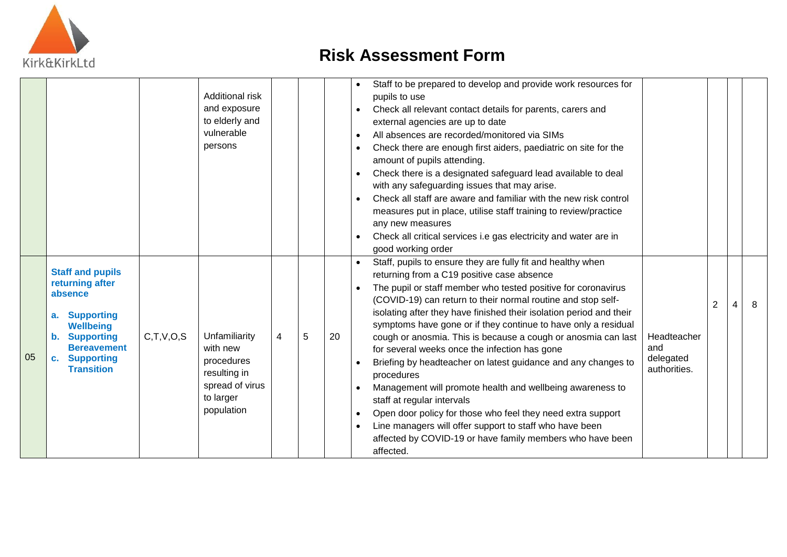

|    |                                                                                                                                                                                           |           | Additional risk<br>and exposure<br>to elderly and<br>vulnerable<br>persons                            |   | Staff to be prepared to develop and provide work resources for<br>pupils to use<br>Check all relevant contact details for parents, carers and<br>external agencies are up to date<br>All absences are recorded/monitored via SIMs<br>$\bullet$<br>Check there are enough first aiders, paediatric on site for the<br>amount of pupils attending.<br>Check there is a designated safeguard lead available to deal<br>with any safeguarding issues that may arise.<br>Check all staff are aware and familiar with the new risk control<br>measures put in place, utilise staff training to review/practice<br>any new measures<br>Check all critical services i.e gas electricity and water are in<br>good working order |    |                        |                                                                                                                                                                                                                                                                                                                                                                                                                                                                                                                                                                                                                                                                                                                                                                                                                                                                                     |                                                 |   |   |
|----|-------------------------------------------------------------------------------------------------------------------------------------------------------------------------------------------|-----------|-------------------------------------------------------------------------------------------------------|---|------------------------------------------------------------------------------------------------------------------------------------------------------------------------------------------------------------------------------------------------------------------------------------------------------------------------------------------------------------------------------------------------------------------------------------------------------------------------------------------------------------------------------------------------------------------------------------------------------------------------------------------------------------------------------------------------------------------------|----|------------------------|-------------------------------------------------------------------------------------------------------------------------------------------------------------------------------------------------------------------------------------------------------------------------------------------------------------------------------------------------------------------------------------------------------------------------------------------------------------------------------------------------------------------------------------------------------------------------------------------------------------------------------------------------------------------------------------------------------------------------------------------------------------------------------------------------------------------------------------------------------------------------------------|-------------------------------------------------|---|---|
| 05 | <b>Staff and pupils</b><br>returning after<br>absence<br><b>Supporting</b><br><b>Wellbeing</b><br><b>Supporting</b><br><b>Bereavement</b><br><b>Supporting</b><br>c.<br><b>Transition</b> | C,T,V,O,S | Unfamiliarity<br>with new<br>procedures<br>resulting in<br>spread of virus<br>to larger<br>population | 4 | 5                                                                                                                                                                                                                                                                                                                                                                                                                                                                                                                                                                                                                                                                                                                      | 20 | $\bullet$<br>$\bullet$ | Staff, pupils to ensure they are fully fit and healthy when<br>returning from a C19 positive case absence<br>The pupil or staff member who tested positive for coronavirus<br>(COVID-19) can return to their normal routine and stop self-<br>isolating after they have finished their isolation period and their<br>symptoms have gone or if they continue to have only a residual<br>cough or anosmia. This is because a cough or anosmia can last<br>for several weeks once the infection has gone<br>Briefing by headteacher on latest guidance and any changes to<br>procedures<br>Management will promote health and wellbeing awareness to<br>staff at regular intervals<br>Open door policy for those who feel they need extra support<br>Line managers will offer support to staff who have been<br>affected by COVID-19 or have family members who have been<br>affected. | Headteacher<br>and<br>delegated<br>authorities. | 2 | 8 |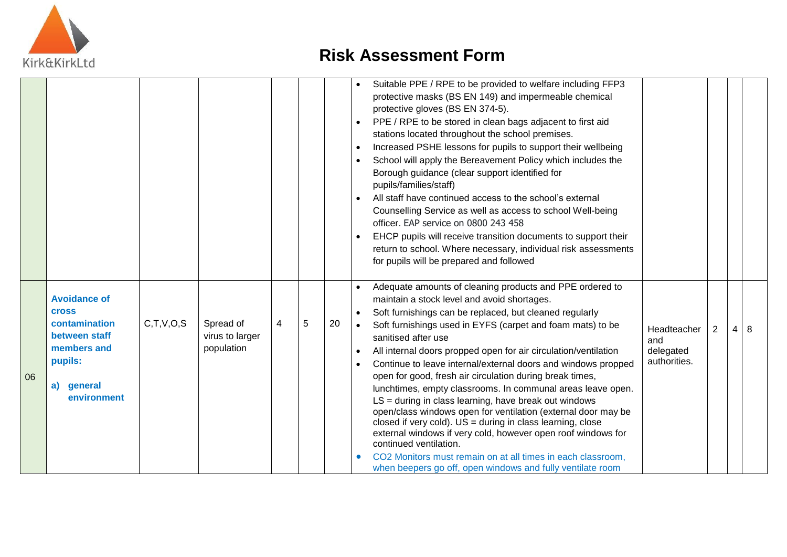

|    |                                                                                                                                 |           |                                            |                |   |    | Suitable PPE / RPE to be provided to welfare including FFP3<br>protective masks (BS EN 149) and impermeable chemical<br>protective gloves (BS EN 374-5).<br>PPE / RPE to be stored in clean bags adjacent to first aid<br>$\bullet$<br>stations located throughout the school premises.<br>Increased PSHE lessons for pupils to support their wellbeing<br>$\bullet$<br>School will apply the Bereavement Policy which includes the<br>$\bullet$<br>Borough guidance (clear support identified for<br>pupils/families/staff)<br>All staff have continued access to the school's external<br>Counselling Service as well as access to school Well-being<br>officer. EAP service on 0800 243 458<br>EHCP pupils will receive transition documents to support their<br>return to school. Where necessary, individual risk assessments<br>for pupils will be prepared and followed                                                                                                                                                                             |   |
|----|---------------------------------------------------------------------------------------------------------------------------------|-----------|--------------------------------------------|----------------|---|----|------------------------------------------------------------------------------------------------------------------------------------------------------------------------------------------------------------------------------------------------------------------------------------------------------------------------------------------------------------------------------------------------------------------------------------------------------------------------------------------------------------------------------------------------------------------------------------------------------------------------------------------------------------------------------------------------------------------------------------------------------------------------------------------------------------------------------------------------------------------------------------------------------------------------------------------------------------------------------------------------------------------------------------------------------------|---|
| 06 | <b>Avoidance of</b><br><b>Cross</b><br>contamination<br>between staff<br>members and<br>pupils:<br>general<br>a)<br>environment | C,T,V,O,S | Spread of<br>virus to larger<br>population | $\overline{4}$ | 5 | 20 | Adequate amounts of cleaning products and PPE ordered to<br>maintain a stock level and avoid shortages.<br>Soft furnishings can be replaced, but cleaned regularly<br>$\bullet$<br>Soft furnishings used in EYFS (carpet and foam mats) to be<br>$\overline{2}$<br>Headteacher<br>$\overline{4}$<br>sanitised after use<br>and<br>All internal doors propped open for air circulation/ventilation<br>delegated<br>$\bullet$<br>authorities.<br>Continue to leave internal/external doors and windows propped<br>open for good, fresh air circulation during break times,<br>lunchtimes, empty classrooms. In communal areas leave open.<br>$LS = during in class learning, have break out windows$<br>open/class windows open for ventilation (external door may be<br>closed if very cold). $US =$ during in class learning, close<br>external windows if very cold, however open roof windows for<br>continued ventilation.<br>CO2 Monitors must remain on at all times in each classroom,<br>when beepers go off, open windows and fully ventilate room | 8 |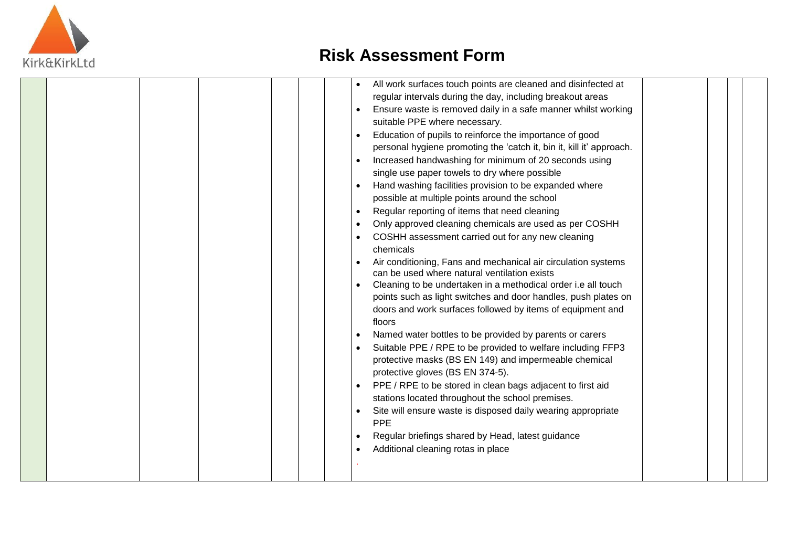

|  |  |  |           | All work surfaces touch points are cleaned and disinfected at        |  |  |
|--|--|--|-----------|----------------------------------------------------------------------|--|--|
|  |  |  |           | regular intervals during the day, including breakout areas           |  |  |
|  |  |  |           | Ensure waste is removed daily in a safe manner whilst working        |  |  |
|  |  |  |           | suitable PPE where necessary.                                        |  |  |
|  |  |  |           | Education of pupils to reinforce the importance of good              |  |  |
|  |  |  |           | personal hygiene promoting the 'catch it, bin it, kill it' approach. |  |  |
|  |  |  | $\bullet$ | Increased handwashing for minimum of 20 seconds using                |  |  |
|  |  |  |           | single use paper towels to dry where possible                        |  |  |
|  |  |  | $\bullet$ | Hand washing facilities provision to be expanded where               |  |  |
|  |  |  |           | possible at multiple points around the school                        |  |  |
|  |  |  | $\bullet$ | Regular reporting of items that need cleaning                        |  |  |
|  |  |  | $\bullet$ | Only approved cleaning chemicals are used as per COSHH               |  |  |
|  |  |  |           | COSHH assessment carried out for any new cleaning                    |  |  |
|  |  |  |           | chemicals                                                            |  |  |
|  |  |  |           | Air conditioning, Fans and mechanical air circulation systems        |  |  |
|  |  |  |           | can be used where natural ventilation exists                         |  |  |
|  |  |  | $\bullet$ | Cleaning to be undertaken in a methodical order i.e all touch        |  |  |
|  |  |  |           | points such as light switches and door handles, push plates on       |  |  |
|  |  |  |           | doors and work surfaces followed by items of equipment and           |  |  |
|  |  |  |           | floors                                                               |  |  |
|  |  |  |           | Named water bottles to be provided by parents or carers              |  |  |
|  |  |  | $\bullet$ | Suitable PPE / RPE to be provided to welfare including FFP3          |  |  |
|  |  |  |           | protective masks (BS EN 149) and impermeable chemical                |  |  |
|  |  |  |           | protective gloves (BS EN 374-5).                                     |  |  |
|  |  |  | $\bullet$ | PPE / RPE to be stored in clean bags adjacent to first aid           |  |  |
|  |  |  |           | stations located throughout the school premises.                     |  |  |
|  |  |  |           | Site will ensure waste is disposed daily wearing appropriate         |  |  |
|  |  |  |           | <b>PPE</b>                                                           |  |  |
|  |  |  | $\bullet$ | Regular briefings shared by Head, latest guidance                    |  |  |
|  |  |  |           | Additional cleaning rotas in place                                   |  |  |
|  |  |  |           |                                                                      |  |  |
|  |  |  |           |                                                                      |  |  |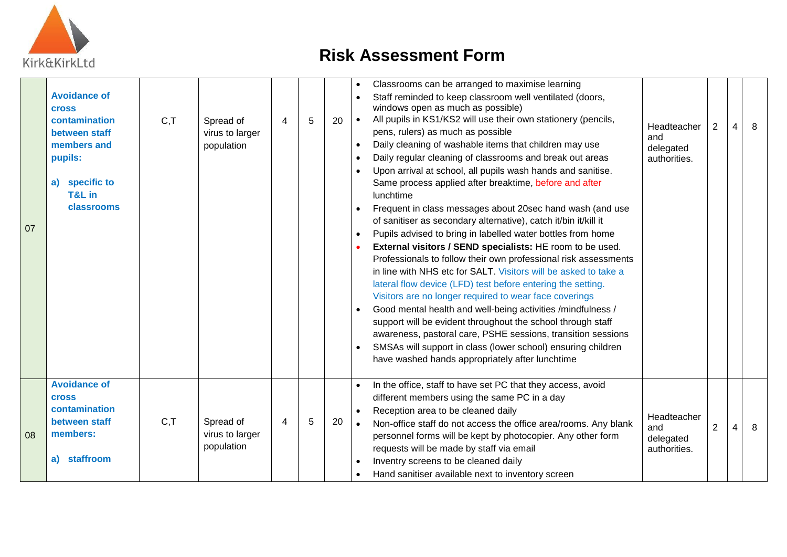

| 07 | <b>Avoidance of</b><br><b>Cross</b><br>contamination<br>between staff<br>members and<br>pupils:<br>a) specific to<br>T&L in<br>classrooms | C, T | Spread of<br>virus to larger<br>population | 4 | 5 | 20 | $\bullet$<br>$\bullet$<br>$\bullet$<br>$\bullet$<br>$\bullet$<br>$\bullet$<br>$\bullet$<br>$\bullet$ | Classrooms can be arranged to maximise learning<br>Staff reminded to keep classroom well ventilated (doors,<br>windows open as much as possible)<br>All pupils in KS1/KS2 will use their own stationery (pencils,<br>pens, rulers) as much as possible<br>Daily cleaning of washable items that children may use<br>Daily regular cleaning of classrooms and break out areas<br>Upon arrival at school, all pupils wash hands and sanitise.<br>Same process applied after breaktime, before and after<br>lunchtime<br>Frequent in class messages about 20sec hand wash (and use<br>of sanitiser as secondary alternative), catch it/bin it/kill it<br>Pupils advised to bring in labelled water bottles from home<br>External visitors / SEND specialists: HE room to be used.<br>Professionals to follow their own professional risk assessments<br>in line with NHS etc for SALT. Visitors will be asked to take a<br>lateral flow device (LFD) test before entering the setting.<br>Visitors are no longer required to wear face coverings<br>Good mental health and well-being activities /mindfulness /<br>support will be evident throughout the school through staff<br>awareness, pastoral care, PSHE sessions, transition sessions<br>SMSAs will support in class (lower school) ensuring children<br>have washed hands appropriately after lunchtime | Headteacher<br>and<br>delegated<br>authorities. | $\overline{2}$ | 4 | 8 |
|----|-------------------------------------------------------------------------------------------------------------------------------------------|------|--------------------------------------------|---|---|----|------------------------------------------------------------------------------------------------------|----------------------------------------------------------------------------------------------------------------------------------------------------------------------------------------------------------------------------------------------------------------------------------------------------------------------------------------------------------------------------------------------------------------------------------------------------------------------------------------------------------------------------------------------------------------------------------------------------------------------------------------------------------------------------------------------------------------------------------------------------------------------------------------------------------------------------------------------------------------------------------------------------------------------------------------------------------------------------------------------------------------------------------------------------------------------------------------------------------------------------------------------------------------------------------------------------------------------------------------------------------------------------------------------------------------------------------------------------------------|-------------------------------------------------|----------------|---|---|
| 08 | <b>Avoidance of</b><br><b>Cross</b><br>contamination<br>between staff<br>members:<br>a) staffroom                                         | C, T | Spread of<br>virus to larger<br>population | 4 | 5 | 20 | $\bullet$<br>$\bullet$                                                                               | In the office, staff to have set PC that they access, avoid<br>different members using the same PC in a day<br>Reception area to be cleaned daily<br>Non-office staff do not access the office area/rooms. Any blank<br>personnel forms will be kept by photocopier. Any other form<br>requests will be made by staff via email<br>Inventry screens to be cleaned daily<br>Hand sanitiser available next to inventory screen                                                                                                                                                                                                                                                                                                                                                                                                                                                                                                                                                                                                                                                                                                                                                                                                                                                                                                                                   | Headteacher<br>and<br>delegated<br>authorities. | $\overline{2}$ | 4 | 8 |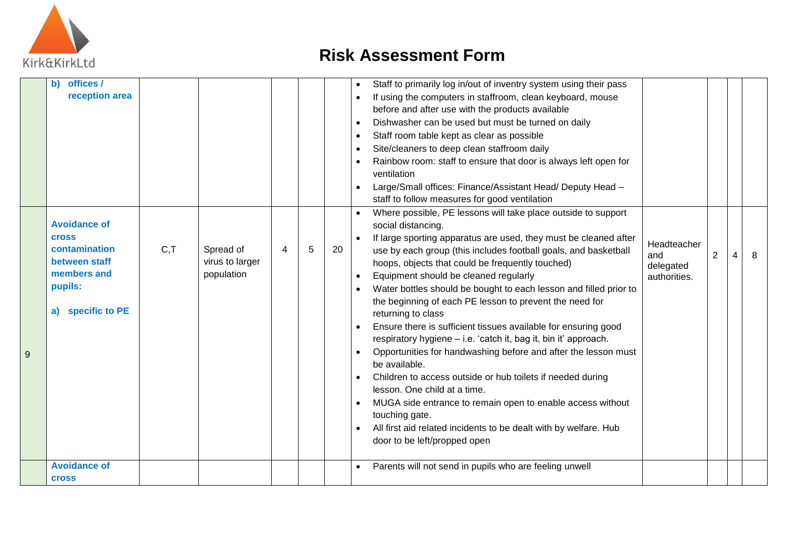

|   | offices /<br>$\mathbf{b}$<br>reception area                                                                          |      |                                            |   |   |    | Staff to primarily log in/out of inventry system using their pass<br>$\bullet$<br>If using the computers in staffroom, clean keyboard, mouse<br>before and after use with the products available<br>Dishwasher can be used but must be turned on daily<br>$\bullet$<br>Staff room table kept as clear as possible<br>Site/cleaners to deep clean staffroom daily<br>$\bullet$<br>Rainbow room: staff to ensure that door is always left open for<br>ventilation<br>Large/Small offices: Finance/Assistant Head/ Deputy Head -<br>staff to follow measures for good ventilation                                                                                                                                                                                                                                                                                                                                                                                                                                                             |                |   |
|---|----------------------------------------------------------------------------------------------------------------------|------|--------------------------------------------|---|---|----|--------------------------------------------------------------------------------------------------------------------------------------------------------------------------------------------------------------------------------------------------------------------------------------------------------------------------------------------------------------------------------------------------------------------------------------------------------------------------------------------------------------------------------------------------------------------------------------------------------------------------------------------------------------------------------------------------------------------------------------------------------------------------------------------------------------------------------------------------------------------------------------------------------------------------------------------------------------------------------------------------------------------------------------------|----------------|---|
| 9 | <b>Avoidance of</b><br><b>Cross</b><br>contamination<br>between staff<br>members and<br>pupils:<br>a) specific to PE | C, T | Spread of<br>virus to larger<br>population | 4 | 5 | 20 | Where possible, PE lessons will take place outside to support<br>social distancing.<br>If large sporting apparatus are used, they must be cleaned after<br>Headteacher<br>use by each group (this includes football goals, and basketball<br>and<br>hoops, objects that could be frequently touched)<br>delegated<br>Equipment should be cleaned regularly<br>authorities.<br>Water bottles should be bought to each lesson and filled prior to<br>the beginning of each PE lesson to prevent the need for<br>returning to class<br>Ensure there is sufficient tissues available for ensuring good<br>respiratory hygiene - i.e. 'catch it, bag it, bin it' approach.<br>Opportunities for handwashing before and after the lesson must<br>be available.<br>Children to access outside or hub toilets if needed during<br>lesson. One child at a time.<br>MUGA side entrance to remain open to enable access without<br>touching gate.<br>All first aid related incidents to be dealt with by welfare. Hub<br>door to be left/propped open | $\overline{2}$ | 8 |
|   | <b>Avoidance of</b><br><b>Cross</b>                                                                                  |      |                                            |   |   |    | Parents will not send in pupils who are feeling unwell                                                                                                                                                                                                                                                                                                                                                                                                                                                                                                                                                                                                                                                                                                                                                                                                                                                                                                                                                                                     |                |   |
|   |                                                                                                                      |      |                                            |   |   |    |                                                                                                                                                                                                                                                                                                                                                                                                                                                                                                                                                                                                                                                                                                                                                                                                                                                                                                                                                                                                                                            |                |   |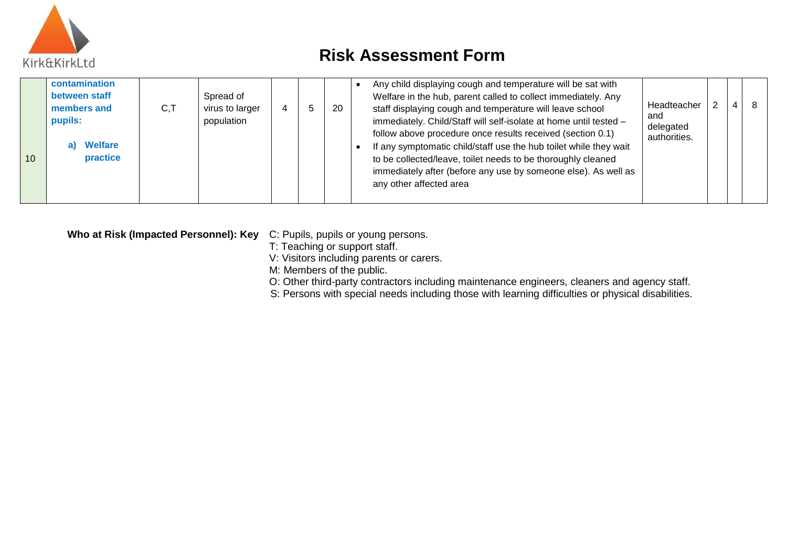

| 10 | contamination<br>between staff<br>members and<br>pupils:<br><b>Nelfare</b><br>practice | C, T | Spread of<br>virus to larger<br>population | 4 |  | 20 | Any child displaying cough and temperature will be sat with<br>Welfare in the hub, parent called to collect immediately. Any<br>Headteacher<br>staff displaying cough and temperature will leave school<br>and<br>immediately. Child/Staff will self-isolate at home until tested -<br>delegated<br>follow above procedure once results received (section 0.1)<br>authorities.<br>If any symptomatic child/staff use the hub toilet while they wait<br>to be collected/leave, toilet needs to be thoroughly cleaned<br>immediately after (before any use by someone else). As well as<br>any other affected area |  | 4 |  |
|----|----------------------------------------------------------------------------------------|------|--------------------------------------------|---|--|----|------------------------------------------------------------------------------------------------------------------------------------------------------------------------------------------------------------------------------------------------------------------------------------------------------------------------------------------------------------------------------------------------------------------------------------------------------------------------------------------------------------------------------------------------------------------------------------------------------------------|--|---|--|
|----|----------------------------------------------------------------------------------------|------|--------------------------------------------|---|--|----|------------------------------------------------------------------------------------------------------------------------------------------------------------------------------------------------------------------------------------------------------------------------------------------------------------------------------------------------------------------------------------------------------------------------------------------------------------------------------------------------------------------------------------------------------------------------------------------------------------------|--|---|--|

**Who at Risk (Impacted Personnel): Key** C: Pupils, pupils or young persons.

T: Teaching or support staff.

V: Visitors including parents or carers.

M: Members of the public.

O: Other third-party contractors including maintenance engineers, cleaners and agency staff.

S: Persons with special needs including those with learning difficulties or physical disabilities.